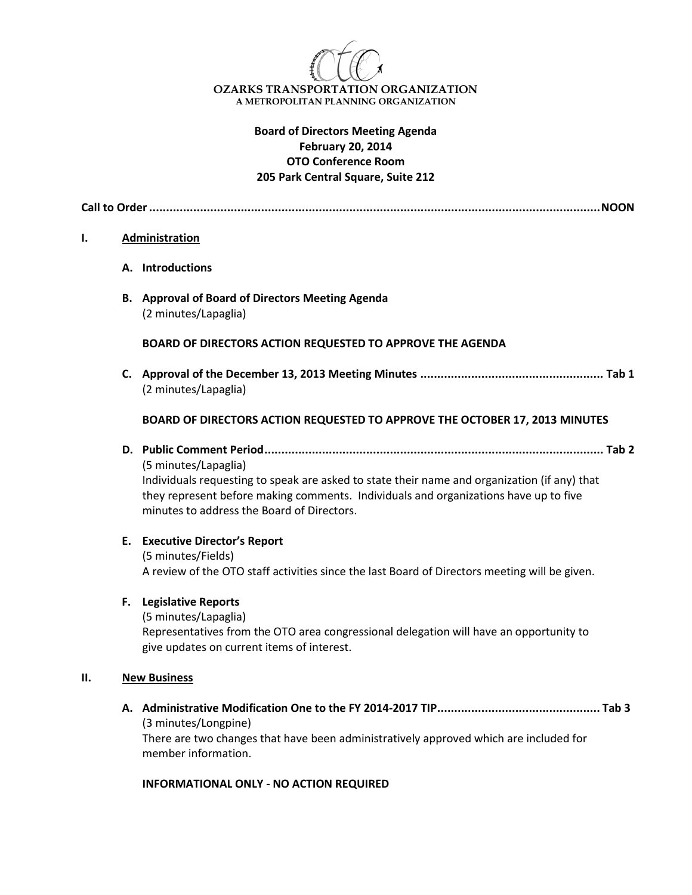

## **Board of Directors Meeting Agenda February 20, 2014 OTO Conference Room 205 Park Central Square, Suite 212**

**Call to Order.....................................................................................................................................NOON**

### **I. Administration**

- **A. Introductions**
- **B. Approval of Board of Directors Meeting Agenda** (2 minutes/Lapaglia)

#### **BOARD OF DIRECTORS ACTION REQUESTED TO APPROVE THE AGENDA**

**C. Approval of the December 13, 2013 Meeting Minutes ...................................................... Tab 1** (2 minutes/Lapaglia)

#### **BOARD OF DIRECTORS ACTION REQUESTED TO APPROVE THE OCTOBER 17, 2013 MINUTES**

**D. Public Comment Period.................................................................................................... Tab 2**

(5 minutes/Lapaglia) Individuals requesting to speak are asked to state their name and organization (if any) that they represent before making comments. Individuals and organizations have up to five minutes to address the Board of Directors.

## **E. Executive Director's Report**

(5 minutes/Fields) A review of the OTO staff activities since the last Board of Directors meeting will be given.

### **F. Legislative Reports**

(5 minutes/Lapaglia) Representatives from the OTO area congressional delegation will have an opportunity to give updates on current items of interest.

#### **II. New Business**

**A. Administrative Modification One to the FY 2014-2017 TIP................................................ Tab 3**  (3 minutes/Longpine) There are two changes that have been administratively approved which are included for member information.

#### **INFORMATIONAL ONLY - NO ACTION REQUIRED**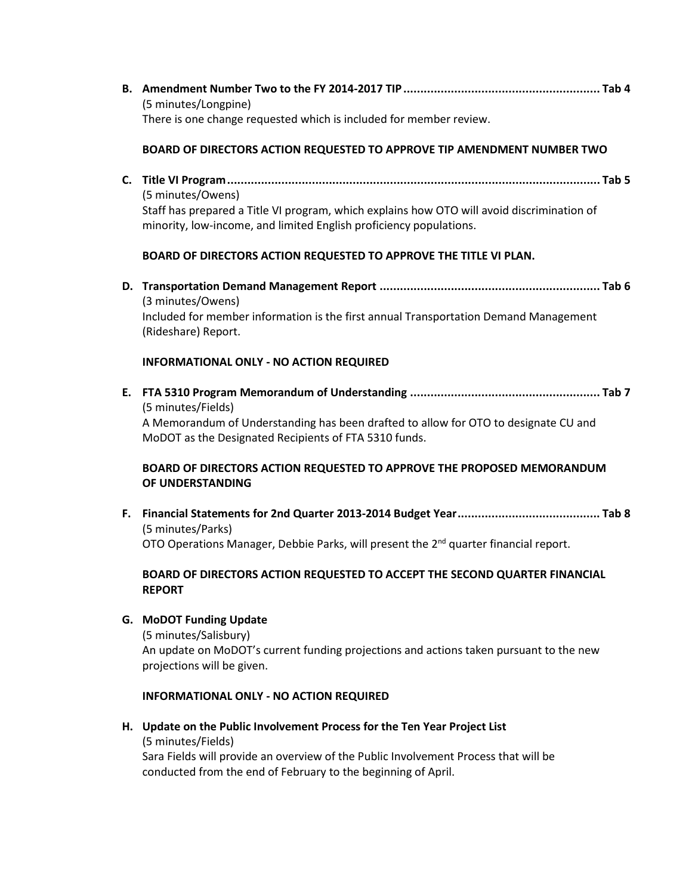**B. Amendment Number Two to the FY 2014-2017 TIP.......................................................... Tab 4**  (5 minutes/Longpine) There is one change requested which is included for member review.

### **BOARD OF DIRECTORS ACTION REQUESTED TO APPROVE TIP AMENDMENT NUMBER TWO**

**C. Title VI Program.............................................................................................................. Tab 5**  (5 minutes/Owens) Staff has prepared a Title VI program, which explains how OTO will avoid discrimination of minority, low-income, and limited English proficiency populations.

### **BOARD OF DIRECTORS ACTION REQUESTED TO APPROVE THE TITLE VI PLAN.**

**D. Transportation Demand Management Report ................................................................. Tab 6** (3 minutes/Owens) Included for member information is the first annual Transportation Demand Management (Rideshare) Report.

#### **INFORMATIONAL ONLY - NO ACTION REQUIRED**

**E. FTA 5310 Program Memorandum of Understanding ........................................................ Tab 7**  (5 minutes/Fields) A Memorandum of Understanding has been drafted to allow for OTO to designate CU and MoDOT as the Designated Recipients of FTA 5310 funds.

## **BOARD OF DIRECTORS ACTION REQUESTED TO APPROVE THE PROPOSED MEMORANDUM OF UNDERSTANDING**

**F. Financial Statements for 2nd Quarter 2013-2014 Budget Year.......................................... Tab 8** (5 minutes/Parks) OTO Operations Manager, Debbie Parks, will present the  $2<sup>nd</sup>$  quarter financial report.

## **BOARD OF DIRECTORS ACTION REQUESTED TO ACCEPT THE SECOND QUARTER FINANCIAL REPORT**

#### **G. MoDOT Funding Update**

(5 minutes/Salisbury) An update on MoDOT's current funding projections and actions taken pursuant to the new projections will be given.

### **INFORMATIONAL ONLY - NO ACTION REQUIRED**

**H. Update on the Public Involvement Process for the Ten Year Project List** (5 minutes/Fields)

Sara Fields will provide an overview of the Public Involvement Process that will be conducted from the end of February to the beginning of April.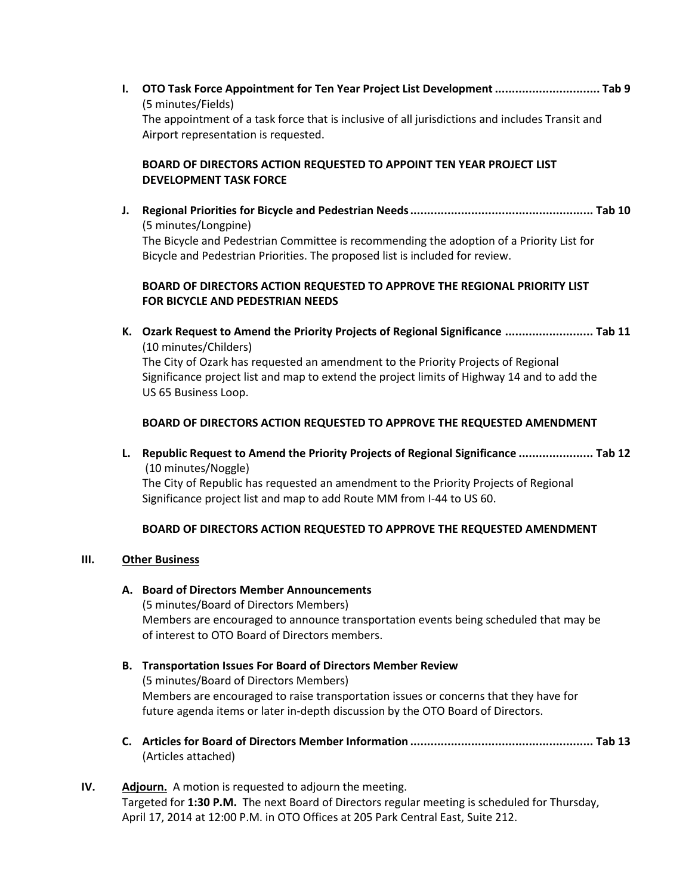**I. OTO Task Force Appointment for Ten Year Project List Development............................... Tab 9**  (5 minutes/Fields) The appointment of a task force that is inclusive of all jurisdictions and includes Transit and Airport representation is requested.

# **BOARD OF DIRECTORS ACTION REQUESTED TO APPOINT TEN YEAR PROJECT LIST DEVELOPMENT TASK FORCE**

**J. Regional Priorities for Bicycle and Pedestrian Needs...................................................... Tab 10** (5 minutes/Longpine) The Bicycle and Pedestrian Committee is recommending the adoption of a Priority List for Bicycle and Pedestrian Priorities. The proposed list is included for review.

## **BOARD OF DIRECTORS ACTION REQUESTED TO APPROVE THE REGIONAL PRIORITY LIST FOR BICYCLE AND PEDESTRIAN NEEDS**

**K. Ozark Request to Amend the Priority Projects of Regional Significance .......................... Tab 11** (10 minutes/Childers)

The City of Ozark has requested an amendment to the Priority Projects of Regional Significance project list and map to extend the project limits of Highway 14 and to add the US 65 Business Loop.

# **BOARD OF DIRECTORS ACTION REQUESTED TO APPROVE THE REQUESTED AMENDMENT**

**L. Republic Request to Amend the Priority Projects of Regional Significance ...................... Tab 12** (10 minutes/Noggle)

The City of Republic has requested an amendment to the Priority Projects of Regional Significance project list and map to add Route MM from I-44 to US 60.

# **BOARD OF DIRECTORS ACTION REQUESTED TO APPROVE THE REQUESTED AMENDMENT**

# **III. Other Business**

- **A. Board of Directors Member Announcements** (5 minutes/Board of Directors Members) Members are encouraged to announce transportation events being scheduled that may be of interest to OTO Board of Directors members.
- **B. Transportation Issues For Board of Directors Member Review**  (5 minutes/Board of Directors Members) Members are encouraged to raise transportation issues or concerns that they have for future agenda items or later in-depth discussion by the OTO Board of Directors.
- **C. Articles for Board of Directors Member Information ...................................................... Tab 13**  (Articles attached)
- **IV. Adjourn.** A motion is requested to adjourn the meeting. Targeted for **1:30 P.M.** The next Board of Directors regular meeting is scheduled for Thursday, April 17, 2014 at 12:00 P.M. in OTO Offices at 205 Park Central East, Suite 212.